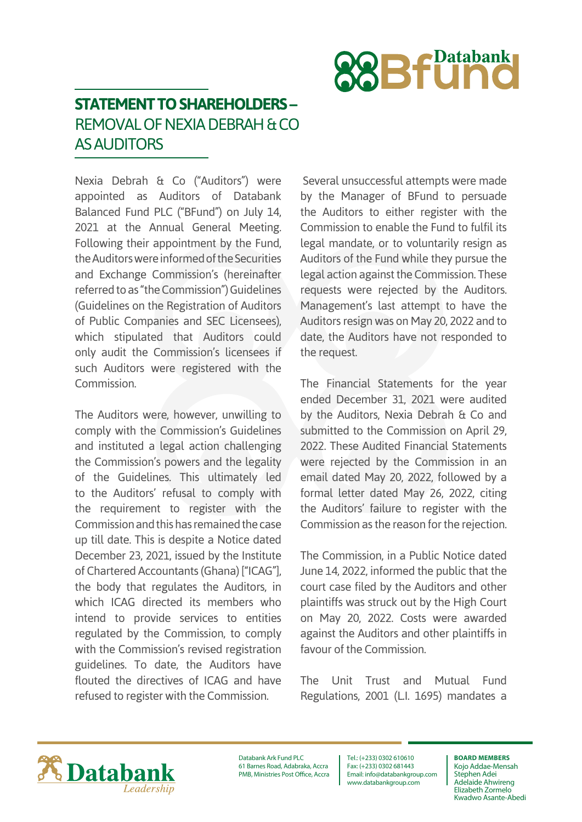

## **STATEMENT TO SHAREHOLDERS –** REMOVAL OF NEXIA DEBRAH & CO AS AUDITORS

Nexia Debrah & Co ("Auditors") were appointed as Auditors of Databank Balanced Fund PLC ("BFund") on July 14, 2021 at the Annual General Meeting. Following their appointment by the Fund, the Auditors were informed of the Securities and Exchange Commission's (hereinafter referred to as "the Commission") Guidelines (Guidelines on the Registration of Auditors of Public Companies and SEC Licensees), which stipulated that Auditors could only audit the Commission's licensees if such Auditors were registered with the Commission.

The Auditors were, however, unwilling to comply with the Commission's Guidelines and instituted a legal action challenging the Commission's powers and the legality of the Guidelines. This ultimately led to the Auditors' refusal to comply with the requirement to register with the Commission and this has remained the case up till date. This is despite a Notice dated December 23, 2021, issued by the Institute of Chartered Accountants (Ghana) ["ICAG"], the body that regulates the Auditors, in which ICAG directed its members who intend to provide services to entities regulated by the Commission, to comply with the Commission's revised registration guidelines. To date, the Auditors have flouted the directives of ICAG and have refused to register with the Commission.

 Several unsuccessful attempts were made by the Manager of BFund to persuade the Auditors to either register with the Commission to enable the Fund to fulfil its legal mandate, or to voluntarily resign as Auditors of the Fund while they pursue the legal action against the Commission. These requests were rejected by the Auditors. Management's last attempt to have the Auditors resign was on May 20, 2022 and to date, the Auditors have not responded to the request.

The Financial Statements for the year ended December 31, 2021 were audited by the Auditors, Nexia Debrah & Co and submitted to the Commission on April 29, 2022. These Audited Financial Statements were rejected by the Commission in an email dated May 20, 2022, followed by a formal letter dated May 26, 2022, citing the Auditors' failure to register with the Commission as the reason for the rejection.

The Commission, in a Public Notice dated June 14, 2022, informed the public that the court case filed by the Auditors and other plaintiffs was struck out by the High Court on May 20, 2022. Costs were awarded against the Auditors and other plaintiffs in favour of the Commission.

The Unit Trust and Mutual Fund Regulations, 2001 (L.I. 1695) mandates a



Databank Ark Fund PLC 61 Barnes Road, Adabraka, Accra PMB, Ministries Post Office, Accra

Tel.: (+233) 0302 610610 Fax: (+233) 0302 681443 Email: info@databankgroup.com www.databankgroup.com

## **BOARD MEMBERS**

Kojo Addae-Mensah Stephen Adei Adelaide Ahwireng Elizabeth Zormelo Kwadwo Asante-Abedi